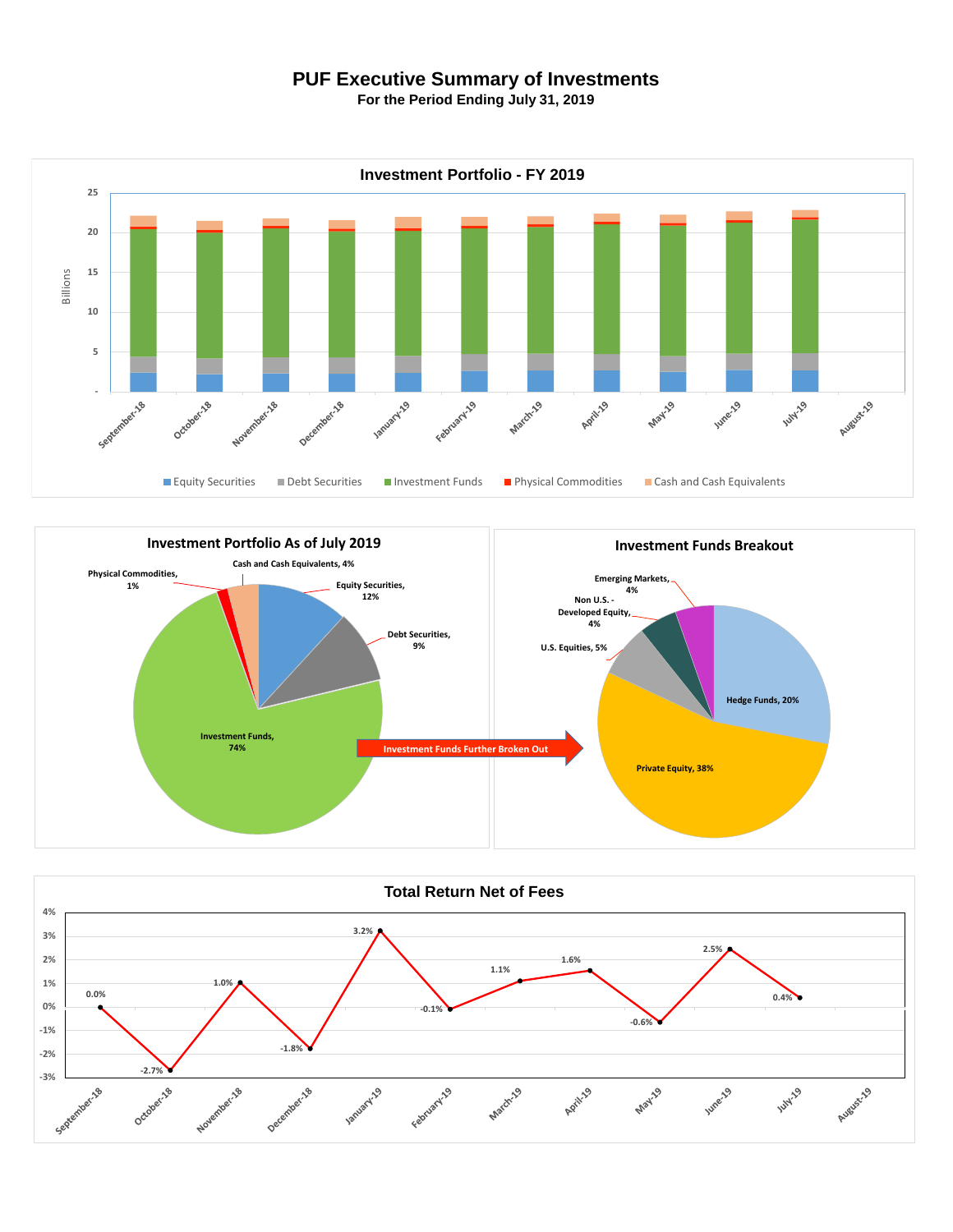## **PUF Executive Summary of Investments**

**For the Period Ending July 31, 2019**